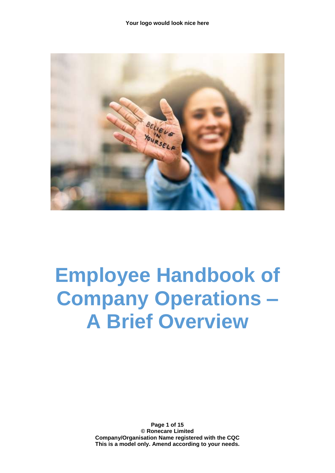

# **Employee Handbook of Company Operations – A Brief Overview**

**Page 1 of 15 © Ronecare Limited Company/Organisation Name registered with the CQC This is a model only. Amend according to your needs.**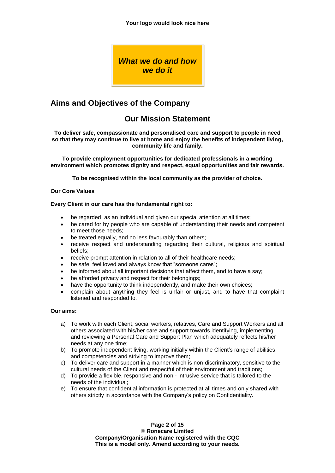*What we do and how we do it*

# **Aims and Objectives of the Company**

# **Our Mission Statement**

**To deliver safe, compassionate and personalised care and support to people in need so that they may continue to live at home and enjoy the benefits of independent living, community life and family.**

**To provide employment opportunities for dedicated professionals in a working environment which promotes dignity and respect, equal opportunities and fair rewards.**

**To be recognised within the local community as the provider of choice.**

#### **Our Core Values**

#### **Every Client in our care has the fundamental right to:**

- be regarded as an individual and given our special attention at all times;
- be cared for by people who are capable of understanding their needs and competent to meet those needs;
- be treated equally, and no less favourably than others;
- receive respect and understanding regarding their cultural, religious and spiritual beliefs;
- receive prompt attention in relation to all of their healthcare needs;
- be safe, feel loved and always know that "someone cares";
- be informed about all important decisions that affect them, and to have a say;
- be afforded privacy and respect for their belongings;
- have the opportunity to think independently, and make their own choices;
- complain about anything they feel is unfair or unjust, and to have that complaint listened and responded to.

#### **Our aims:**

- a) To work with each Client, social workers, relatives, Care and Support Workers and all others associated with his/her care and support towards identifying, implementing and reviewing a Personal Care and Support Plan which adequately reflects his/her needs at any one time;
- b) To promote independent living, working initially within the Client's range of abilities and competencies and striving to improve them;
- c) To deliver care and support in a manner which is non-discriminatory, sensitive to the cultural needs of the Client and respectful of their environment and traditions;
- d) To provide a flexible, responsive and non intrusive service that is tailored to the needs of the individual;
- e) To ensure that confidential information is protected at all times and only shared with others strictly in accordance with the Company's policy on Confidentiality.

**Page 2 of 15 © Ronecare Limited Company/Organisation Name registered with the CQC This is a model only. Amend according to your needs.**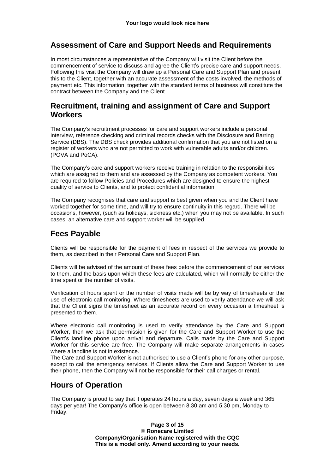#### **Assessment of Care and Support Needs and Requirements**

In most circumstances a representative of the Company will visit the Client before the commencement of service to discuss and agree the Client's precise care and support needs. Following this visit the Company will draw up a Personal Care and Support Plan and present this to the Client, together with an accurate assessment of the costs involved, the methods of payment etc. This information, together with the standard terms of business will constitute the contract between the Company and the Client.

#### **Recruitment, training and assignment of Care and Support Workers**

The Company's recruitment processes for care and support workers include a personal interview, reference checking and criminal records checks with the Disclosure and Barring Service (DBS). The DBS check provides additional confirmation that you are not listed on a register of workers who are not permitted to work with vulnerable adults and/or children. (POVA and PoCA).

The Company's care and support workers receive training in relation to the responsibilities which are assigned to them and are assessed by the Company as competent workers. You are required to follow Policies and Procedures which are designed to ensure the highest quality of service to Clients, and to protect confidential information.

The Company recognises that care and support is best given when you and the Client have worked together for some time, and will try to ensure continuity in this regard. There will be occasions, however, (such as holidays, sickness etc.) when you may not be available. In such cases, an alternative care and support worker will be supplied.

## **Fees Payable**

Clients will be responsible for the payment of fees in respect of the services we provide to them, as described in their Personal Care and Support Plan.

Clients will be advised of the amount of these fees before the commencement of our services to them, and the basis upon which these fees are calculated, which will normally be either the time spent or the number of visits.

Verification of hours spent or the number of visits made will be by way of timesheets or the use of electronic call monitoring. Where timesheets are used to verify attendance we will ask that the Client signs the timesheet as an accurate record on every occasion a timesheet is presented to them.

Where electronic call monitoring is used to verify attendance by the Care and Support Worker, then we ask that permission is given for the Care and Support Worker to use the Client's landline phone upon arrival and departure. Calls made by the Care and Support Worker for this service are free. The Company will make separate arrangements in cases where a landline is not in existence.

The Care and Support Worker is not authorised to use a Client's phone for any other purpose, except to call the emergency services. If Clients allow the Care and Support Worker to use their phone, then the Company will not be responsible for their call charges or rental.

## **Hours of Operation**

The Company is proud to say that it operates 24 hours a day, seven days a week and 365 days per year! The Company's office is open between 8.30 am and 5.30 pm, Monday to Friday.

> **Page 3 of 15 © Ronecare Limited Company/Organisation Name registered with the CQC This is a model only. Amend according to your needs.**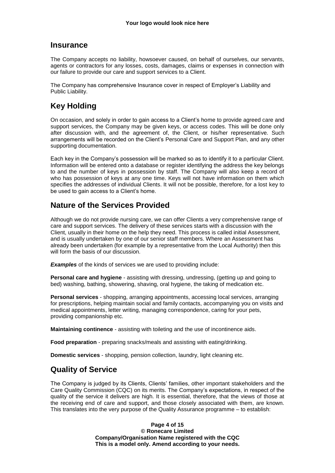#### **Insurance**

The Company accepts no liability, howsoever caused, on behalf of ourselves, our servants, agents or contractors for any losses, costs, damages, claims or expenses in connection with our failure to provide our care and support services to a Client.

The Company has comprehensive Insurance cover in respect of Employer's Liability and Public Liability.

# **Key Holding**

On occasion, and solely in order to gain access to a Client's home to provide agreed care and support services, the Company may be given keys, or access codes. This will be done only after discussion with, and the agreement of, the Client, or his/her representative. Such arrangements will be recorded on the Client's Personal Care and Support Plan, and any other supporting documentation.

Each key in the Company's possession will be marked so as to identify it to a particular Client. Information will be entered onto a database or register identifying the address the key belongs to and the number of keys in possession by staff. The Company will also keep a record of who has possession of keys at any one time. Keys will not have information on them which specifies the addresses of individual Clients. It will not be possible, therefore, for a lost key to be used to gain access to a Client's home.

## **Nature of the Services Provided**

Although we do not provide nursing care, we can offer Clients a very comprehensive range of care and support services. The delivery of these services starts with a discussion with the Client, usually in their home on the help they need. This process is called initial Assessment, and is usually undertaken by one of our senior staff members. Where an Assessment has already been undertaken (for example by a representative from the Local Authority) then this will form the basis of our discussion.

**Examples** of the kinds of services we are used to providing include:

**Personal care and hygiene** - assisting with dressing, undressing, (getting up and going to bed) washing, bathing, showering, shaving, oral hygiene, the taking of medication etc.

**Personal services** - shopping, arranging appointments, accessing local services, arranging for prescriptions, helping maintain social and family contacts, accompanying you on visits and medical appointments, letter writing, managing correspondence, caring for your pets, providing companionship etc.

**Maintaining continence** - assisting with toileting and the use of incontinence aids.

**Food preparation** - preparing snacks/meals and assisting with eating/drinking.

**Domestic services** - shopping, pension collection, laundry, light cleaning etc.

# **Quality of Service**

The Company is judged by its Clients, Clients' families, other important stakeholders and the Care Quality Commission (CQC) on its merits. The Company's expectations, in respect of the quality of the service it delivers are high. It is essential, therefore, that the views of those at the receiving end of care and support, and those closely associated with them, are known. This translates into the very purpose of the Quality Assurance programme – to establish:

> **Page 4 of 15 © Ronecare Limited Company/Organisation Name registered with the CQC This is a model only. Amend according to your needs.**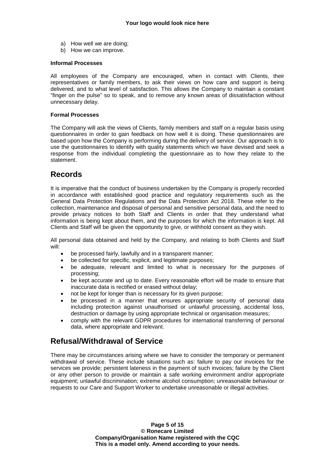- a) How well we are doing;
- b) How we can improve.

#### **Informal Processes**

All employees of the Company are encouraged, when in contact with Clients, their representatives or family members, to ask their views on how care and support is being delivered, and to what level of satisfaction. This allows the Company to maintain a constant "finger on the pulse" so to speak, and to remove any known areas of dissatisfaction without unnecessary delay.

#### **Formal Processes**

The Company will ask the views of Clients, family members and staff on a regular basis using questionnaires in order to gain feedback on how well it is doing. These questionnaires are based upon how the Company is performing during the delivery of service. Our approach is to use the questionnaires to identify with quality statements which we have devised and seek a response from the individual completing the questionnaire as to how they relate to the statement.

## **Records**

It is imperative that the conduct of business undertaken by the Company is properly recorded in accordance with established good practice and regulatory requirements such as the General Data Protection Regulations and the Data Protection Act 2018. These refer to the collection, maintenance and disposal of personal and sensitive personal data, and the need to provide privacy notices to both Staff and Clients in order that they understand what information is being kept about them, and the purposes for which the information is kept. All Clients and Staff will be given the opportunity to give, or withhold consent as they wish.

All personal data obtained and held by the Company, and relating to both Clients and Staff will:

- be processed fairly, lawfully and in a transparent manner;
- be collected for specific, explicit, and legitimate purposes;
- be adequate, relevant and limited to what is necessary for the purposes of processing;
- be kept accurate and up to date. Every reasonable effort will be made to ensure that inaccurate data is rectified or erased without delay;
- not be kept for longer than is necessary for its given purpose;
- be processed in a manner that ensures appropriate security of personal data including protection against unauthorised or unlawful processing, accidental loss, destruction or damage by using appropriate technical or organisation measures;
- comply with the relevant GDPR procedures for international transferring of personal data, where appropriate and relevant.

## **Refusal/Withdrawal of Service**

There may be circumstances arising where we have to consider the temporary or permanent withdrawal of service. These include situations such as: failure to pay our invoices for the services we provide; persistent lateness in the payment of such invoices; failure by the Client or any other person to provide or maintain a safe working environment and/or appropriate equipment; unlawful discrimination; extreme alcohol consumption; unreasonable behaviour or requests to our Care and Support Worker to undertake unreasonable or illegal activities.

> **Page 5 of 15 © Ronecare Limited Company/Organisation Name registered with the CQC This is a model only. Amend according to your needs.**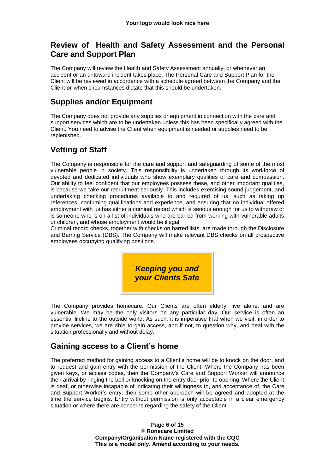## **Review of Health and Safety Assessment and the Personal Care and Support Plan**

The Company will review the Health and Safety Assessment annually, or whenever an accident or an untoward incident takes place. The Personal Care and Support Plan for the Client will be reviewed in accordance with a schedule agreed between the Company and the Client **or** when circumstances dictate that this should be undertaken.

# **Supplies and/or Equipment**

The Company does not provide any supplies or equipment in connection with the care and support services which are to be undertaken unless this has been specifically agreed with the Client. You need to advise the Client when equipment is needed or supplies need to be replenished.

# **Vetting of Staff**

The Company is responsible for the care and support and safeguarding of some of the most vulnerable people in society. This responsibility is undertaken through its workforce of devoted and dedicated individuals who show exemplary qualities of care and compassion. Our ability to feel confident that our employees possess these, and other important qualities, is because we take our recruitment seriously. This includes exercising sound judgement, and undertaking checking procedures available to and required of us, such as taking up references, confirming qualifications and experience, and ensuring that no individual offered employment with us has either a criminal record which is serious enough for us to withdraw or is someone who is on a list of individuals who are barred from working with vulnerable adults or children, and whose employment would be illegal.

Criminal record checks, together with checks on barred lists, are made through the Disclosure and Barring Service (DBS). The Company will make relevant DBS checks on all prospective employees occupying qualifying positions.



The Company provides homecare. Our Clients are often elderly, live alone, and are vulnerable. We may be the only visitors on any particular day. Our service is often an essential lifeline to the outside world. As such, it is imperative that when we visit, in order to provide services, we are able to gain access, and if not, to question why, and deal with the situation professionally and without delay.

# **Gaining access to a Client's home**

The preferred method for gaining access to a Client's home will be to knock on the door, and to request and gain entry with the permission of the Client. Where the Company has been given keys, or access codes, then the Company's Care and Support Worker will announce their arrival by ringing the bell or knocking on the entry door prior to opening. Where the Client is deaf, or otherwise incapable of indicating their willingness to, and acceptance of, the Care and Support Worker's entry, then some other approach will be agreed and adopted at the time the service begins. Entry without permission is only acceptable in a clear emergency situation or where there are concerns regarding the safety of the Client.

> **Page 6 of 15 © Ronecare Limited Company/Organisation Name registered with the CQC This is a model only. Amend according to your needs.**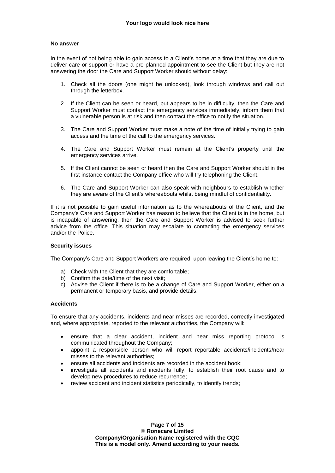#### **No answer**

In the event of not being able to gain access to a Client's home at a time that they are due to deliver care or support or have a pre-planned appointment to see the Client but they are not answering the door the Care and Support Worker should without delay:

- 1. Check all the doors (one might be unlocked), look through windows and call out through the letterbox.
- 2. If the Client can be seen or heard, but appears to be in difficulty, then the Care and Support Worker must contact the emergency services immediately, inform them that a vulnerable person is at risk and then contact the office to notify the situation.
- 3. The Care and Support Worker must make a note of the time of initially trying to gain access and the time of the call to the emergency services.
- 4. The Care and Support Worker must remain at the Client's property until the emergency services arrive.
- 5. If the Client cannot be seen or heard then the Care and Support Worker should in the first instance contact the Company office who will try telephoning the Client.
- 6. The Care and Support Worker can also speak with neighbours to establish whether they are aware of the Client's whereabouts whilst being mindful of confidentiality.

If it is not possible to gain useful information as to the whereabouts of the Client. and the Company's Care and Support Worker has reason to believe that the Client is in the home, but is incapable of answering, then the Care and Support Worker is advised to seek further advice from the office. This situation may escalate to contacting the emergency services and/or the Police.

#### **Security issues**

The Company's Care and Support Workers are required, upon leaving the Client's home to:

- a) Check with the Client that they are comfortable;
- b) Confirm the date/time of the next visit:
- c) Advise the Client if there is to be a change of Care and Support Worker, either on a permanent or temporary basis, and provide details.

#### **Accidents**

To ensure that any accidents, incidents and near misses are recorded, correctly investigated and, where appropriate, reported to the relevant authorities, the Company will:

- ensure that a clear accident, incident and near miss reporting protocol is communicated throughout the Company;
- appoint a responsible person who will report reportable accidents/incidents/near misses to the relevant authorities;
- ensure all accidents and incidents are recorded in the accident book;
- investigate all accidents and incidents fully, to establish their root cause and to develop new procedures to reduce recurrence;
- review accident and incident statistics periodically, to identify trends;

**Page 7 of 15 © Ronecare Limited Company/Organisation Name registered with the CQC This is a model only. Amend according to your needs.**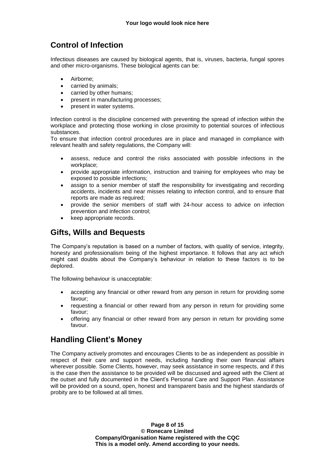# **Control of Infection**

Infectious diseases are caused by biological agents, that is, viruses, bacteria, fungal spores and other micro-organisms. These biological agents can be:

- Airborne:
- carried by animals;
- carried by other humans;
- present in manufacturing processes;
- present in water systems.

Infection control is the discipline concerned with preventing the spread of infection within the workplace and protecting those working in close proximity to potential sources of infectious substances.

To ensure that infection control procedures are in place and managed in compliance with relevant health and safety regulations, the Company will:

- assess, reduce and control the risks associated with possible infections in the workplace;
- provide appropriate information, instruction and training for employees who may be exposed to possible infections;
- assign to a senior member of staff the responsibility for investigating and recording accidents, incidents and near misses relating to infection control, and to ensure that reports are made as required;
- provide the senior members of staff with 24-hour access to advice on infection prevention and infection control;
- keep appropriate records.

## **Gifts, Wills and Bequests**

The Company's reputation is based on a number of factors, with quality of service, integrity, honesty and professionalism being of the highest importance. It follows that any act which might cast doubts about the Company's behaviour in relation to these factors is to be deplored.

The following behaviour is unacceptable:

- accepting any financial or other reward from any person in return for providing some favour;
- requesting a financial or other reward from any person in return for providing some favour;
- offering any financial or other reward from any person in return for providing some favour.

## **Handling Client's Money**

The Company actively promotes and encourages Clients to be as independent as possible in respect of their care and support needs, including handling their own financial affairs wherever possible. Some Clients, however, may seek assistance in some respects, and if this is the case then the assistance to be provided will be discussed and agreed with the Client at the outset and fully documented in the Client's Personal Care and Support Plan. Assistance will be provided on a sound, open, honest and transparent basis and the highest standards of probity are to be followed at all times.

> **Page 8 of 15 © Ronecare Limited Company/Organisation Name registered with the CQC This is a model only. Amend according to your needs.**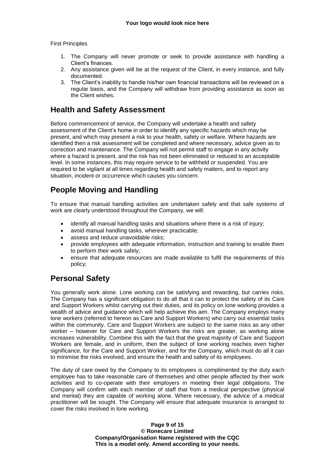First Principles

- 1. The Company will never promote or seek to provide assistance with handling a Client's finances.
- 2. Any assistance given will be at the request of the Client, in every instance, and fully documented.
- 3. The Client's inability to handle his/her own financial transactions will be reviewed on a regular basis, and the Company will withdraw from providing assistance as soon as the Client wishes.

## **Health and Safety Assessment**

Before commencement of service, the Company will undertake a health and safety assessment of the Client's home in order to identify any specific hazards which may be present, and which may present a risk to your health, safety or welfare. Where hazards are identified then a risk assessment will be completed and where necessary, advice given as to correction and maintenance. The Company will not permit staff to engage in any activity where a hazard is present, and the risk has not been eliminated or reduced to an acceptable level. In some instances, this may require service to be withheld or suspended. You are required to be vigilant at all times regarding health and safety matters, and to report any situation, incident or occurrence which causes you concern.

# **People Moving and Handling**

To ensure that manual handling activities are undertaken safely and that safe systems of work are clearly understood throughout the Company, we will:

- identify all manual handling tasks and situations where there is a risk of injury;
- avoid manual handling tasks, wherever practicable;
- assess and reduce unavoidable risks:
- provide employees with adequate information, instruction and training to enable them to perform their work safely;
- ensure that adequate resources are made available to fulfil the requirements of this policy;

# **Personal Safety**

You generally work alone. Lone working can be satisfying and rewarding, but carries risks. The Company has a significant obligation to do all that it can to protect the safety of its Care and Support Workers whilst carrying out their duties, and its policy on lone working provides a wealth of advice and guidance which will help achieve this aim. The Company employs many lone workers (referred to hereon as Care and Support Workers) who carry out essential tasks within the community. Care and Support Workers are subject to the same risks as any other worker – however for Care and Support Workers the risks are greater, as working alone increases vulnerability. Combine this with the fact that the great majority of Care and Support Workers are female, and in uniform, then the subject of lone working reaches even higher significance, for the Care and Support Worker, and for the Company, which must do all it can to minimise the risks involved, and ensure the health and safety of its employees.

The duty of care owed by the Company to its employees is complimented by the duty each employee has to take reasonable care of themselves and other people affected by their work activities and to co-operate with their employers in meeting their legal obligations. The Company will confirm with each member of staff that from a medical perspective (physical and mental) they are capable of working alone. Where necessary, the advice of a medical practitioner will be sought. The Company will ensure that adequate insurance is arranged to cover the risks involved in lone working.

> **Page 9 of 15 © Ronecare Limited Company/Organisation Name registered with the CQC This is a model only. Amend according to your needs.**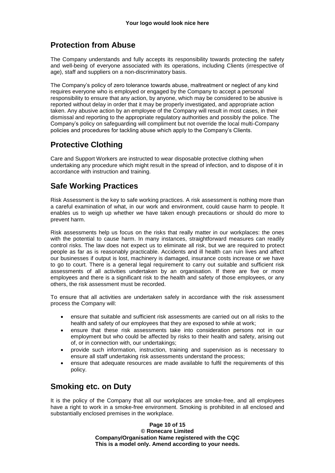# **Protection from Abuse**

The Company understands and fully accepts its responsibility towards protecting the safety and well-being of everyone associated with its operations, including Clients (irrespective of age), staff and suppliers on a non-discriminatory basis.

The Company's policy of zero tolerance towards abuse, maltreatment or neglect of any kind requires everyone who is employed or engaged by the Company to accept a personal responsibility to ensure that any action, by anyone, which may be considered to be abusive is reported without delay in order that it may be properly investigated, and appropriate action taken. Any abusive action by an employee of the Company will result in most cases, in their dismissal and reporting to the appropriate regulatory authorities and possibly the police. The Company's policy on safeguarding will compliment but not override the local multi-Company policies and procedures for tackling abuse which apply to the Company's Clients.

# **Protective Clothing**

Care and Support Workers are instructed to wear disposable protective clothing when undertaking any procedure which might result in the spread of infection, and to dispose of it in accordance with instruction and training.

# **Safe Working Practices**

Risk Assessment is the key to safe working practices. A risk assessment is nothing more than a careful examination of what, in our work and environment, could cause harm to people. It enables us to weigh up whether we have taken enough precautions or should do more to prevent harm.

Risk assessments help us focus on the risks that really matter in our workplaces: the ones with the potential to cause harm. In many instances, straightforward measures can readily control risks. The law does not expect us to eliminate all risk, but we are required to protect people as far as is reasonably practicable. Accidents and ill health can ruin lives and affect our businesses if output is lost, machinery is damaged, insurance costs increase or we have to go to court. There is a general legal requirement to carry out suitable and sufficient risk assessments of all activities undertaken by an organisation. If there are five or more employees and there is a significant risk to the health and safety of those employees, or any others, the risk assessment must be recorded.

To ensure that all activities are undertaken safely in accordance with the risk assessment process the Company will:

- ensure that suitable and sufficient risk assessments are carried out on all risks to the health and safety of our employees that they are exposed to while at work;
- ensure that these risk assessments take into consideration persons not in our employment but who could be affected by risks to their health and safety, arising out of, or in connection with, our undertakings;
- provide such information, instruction, training and supervision as is necessary to ensure all staff undertaking risk assessments understand the process;
- ensure that adequate resources are made available to fulfil the requirements of this policy.

# **Smoking etc. on Duty**

It is the policy of the Company that all our workplaces are smoke-free, and all employees have a right to work in a smoke-free environment. Smoking is prohibited in all enclosed and substantially enclosed premises in the workplace.

> **Page 10 of 15 © Ronecare Limited Company/Organisation Name registered with the CQC This is a model only. Amend according to your needs.**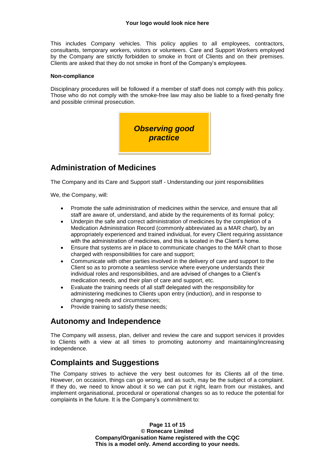This includes Company vehicles. This policy applies to all employees, contractors, consultants, temporary workers, visitors or volunteers. Care and Support Workers employed by the Company are strictly forbidden to smoke in front of Clients and on their premises. Clients are asked that they do not smoke in front of the Company's employees.

#### **Non-compliance**

Disciplinary procedures will be followed if a member of staff does not comply with this policy. Those who do not comply with the smoke-free law may also be liable to a fixed-penalty fine and possible criminal prosecution.



## **Administration of Medicines**

The Company and its Care and Support staff - Understanding our joint responsibilities

We, the Company, will:

- Promote the safe administration of medicines within the service, and ensure that all staff are aware of, understand, and abide by the requirements of its formal policy;
- Underpin the safe and correct administration of medicines by the completion of a Medication Administration Record (commonly abbreviated as a MAR chart), by an appropriately experienced and trained individual, for every Client requiring assistance with the administration of medicines, and this is located in the Client's home.
- Ensure that systems are in place to communicate changes to the MAR chart to those charged with responsibilities for care and support;
- Communicate with other parties involved in the delivery of care and support to the Client so as to promote a seamless service where everyone understands their individual roles and responsibilities, and are advised of changes to a Client's medication needs, and their plan of care and support, etc.
- Evaluate the training needs of all staff delegated with the responsibility for administering medicines to Clients upon entry (induction), and in response to changing needs and circumstances;
- Provide training to satisfy these needs;

## **Autonomy and Independence**

The Company will assess, plan, deliver and review the care and support services it provides to Clients with a view at all times to promoting autonomy and maintaining/increasing independence.

## **Complaints and Suggestions**

The Company strives to achieve the very best outcomes for its Clients all of the time. However, on occasion, things can go wrong, and as such, may be the subject of a complaint. If they do, we need to know about it so we can put it right, learn from our mistakes, and implement organisational, procedural or operational changes so as to reduce the potential for complaints in the future. It is the Company's commitment to:

> **Page 11 of 15 © Ronecare Limited Company/Organisation Name registered with the CQC This is a model only. Amend according to your needs.**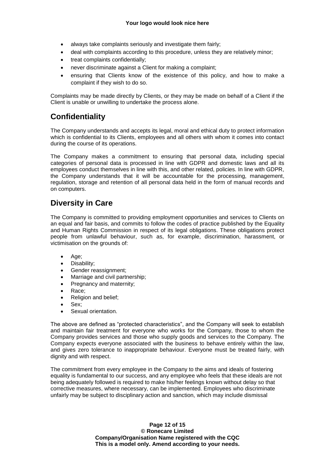- always take complaints seriously and investigate them fairly;
- deal with complaints according to this procedure, unless they are relatively minor;
- treat complaints confidentially;
- never discriminate against a Client for making a complaint;
- ensuring that Clients know of the existence of this policy, and how to make a complaint if they wish to do so.

Complaints may be made directly by Clients, or they may be made on behalf of a Client if the Client is unable or unwilling to undertake the process alone.

# **Confidentiality**

The Company understands and accepts its legal, moral and ethical duty to protect information which is confidential to its Clients, employees and all others with whom it comes into contact during the course of its operations.

The Company makes a commitment to ensuring that personal data, including special categories of personal data is processed in line with GDPR and domestic laws and all its employees conduct themselves in line with this, and other related, policies. In line with GDPR, the Company understands that it will be accountable for the processing, management, regulation, storage and retention of all personal data held in the form of manual records and on computers.

# **Diversity in Care**

The Company is committed to providing employment opportunities and services to Clients on an equal and fair basis, and commits to follow the codes of practice published by the Equality and Human Rights Commission in respect of its legal obligations. These obligations protect people from unlawful behaviour, such as, for example, discrimination, harassment, or victimisation on the grounds of:

- Age;
- Disability:
- Gender reassignment;
- Marriage and civil partnership:
- Pregnancy and maternity;
- Race;
- Religion and belief;
- Sex:
- Sexual orientation.

The above are defined as "protected characteristics", and the Company will seek to establish and maintain fair treatment for everyone who works for the Company, those to whom the Company provides services and those who supply goods and services to the Company. The Company expects everyone associated with the business to behave entirely within the law, and gives zero tolerance to inappropriate behaviour. Everyone must be treated fairly, with dignity and with respect.

The commitment from every employee in the Company to the aims and ideals of fostering equality is fundamental to our success, and any employee who feels that these ideals are not being adequately followed is required to make his/her feelings known without delay so that corrective measures, where necessary, can be implemented. Employees who discriminate unfairly may be subject to disciplinary action and sanction, which may include dismissal

> **Page 12 of 15 © Ronecare Limited Company/Organisation Name registered with the CQC This is a model only. Amend according to your needs.**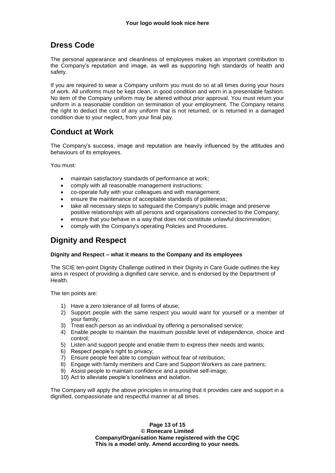# **Dress Code**

The personal appearance and cleanliness of employees makes an important contribution to the Company's reputation and image, as well as supporting high standards of health and safety.

If you are required to wear a Company uniform you must do so at all times during your hours of work. All uniforms must be kept clean, in good condition and worn in a presentable fashion. No item of the Company uniform may be altered without prior approval. You must return your uniform in a reasonable condition on termination of your employment. The Company retains the right to deduct the cost of any uniform that is not returned, or is returned in a damaged condition due to your neglect, from your final pay.

## **Conduct at Work**

The Company's success, image and reputation are heavily influenced by the attitudes and behaviours of its employees.

You must:

- maintain satisfactory standards of performance at work;
- comply with all reasonable management instructions;
- co-operate fully with your colleagues and with management;
- ensure the maintenance of acceptable standards of politeness;
- take all necessary steps to safeguard the Company's public image and preserve positive relationships with all persons and organisations connected to the Company;
- ensure that you behave in a way that does not constitute unlawful discrimination;
- comply with the Company's operating Policies and Procedures.

# **Dignity and Respect**

#### **Dignity and Respect – what it means to the Company and its employees**

The SCIE ten-point Dignity Challenge outlined in their Dignity in Care Guide outlines the key aims in respect of providing a dignified care service, and is endorsed by the Department of Health.

The ten points are:

- 1) Have a zero tolerance of all forms of abuse;
- 2) Support people with the same respect you would want for yourself or a member of your family;
- 3) Treat each person as an individual by offering a personalised service;
- 4) Enable people to maintain the maximum possible level of independence, choice and control;
- 5) Listen and support people and enable them to express their needs and wants;
- 6) Respect people's right to privacy;
- 7) Ensure people feel able to complain without fear of retribution;
- 8) Engage with family members and Care and Support Workers as care partners;
- 9) Assist people to maintain confidence and a positive self-image;
- 10) Act to alleviate people's loneliness and isolation.

The Company will apply the above principles in ensuring that it provides care and support in a dignified, compassionate and respectful manner at all times.

> **Page 13 of 15 © Ronecare Limited Company/Organisation Name registered with the CQC This is a model only. Amend according to your needs.**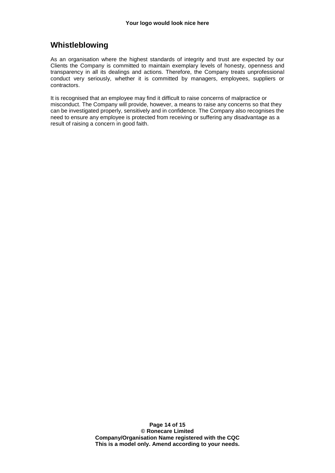# **Whistleblowing**

As an organisation where the highest standards of integrity and trust are expected by our Clients the Company is committed to maintain exemplary levels of honesty, openness and transparency in all its dealings and actions. Therefore, the Company treats unprofessional conduct very seriously, whether it is committed by managers, employees, suppliers or contractors.

It is recognised that an employee may find it difficult to raise concerns of malpractice or misconduct. The Company will provide, however, a means to raise any concerns so that they can be investigated properly, sensitively and in confidence. The Company also recognises the need to ensure any employee is protected from receiving or suffering any disadvantage as a result of raising a concern in good faith.

> **Page 14 of 15 © Ronecare Limited Company/Organisation Name registered with the CQC This is a model only. Amend according to your needs.**